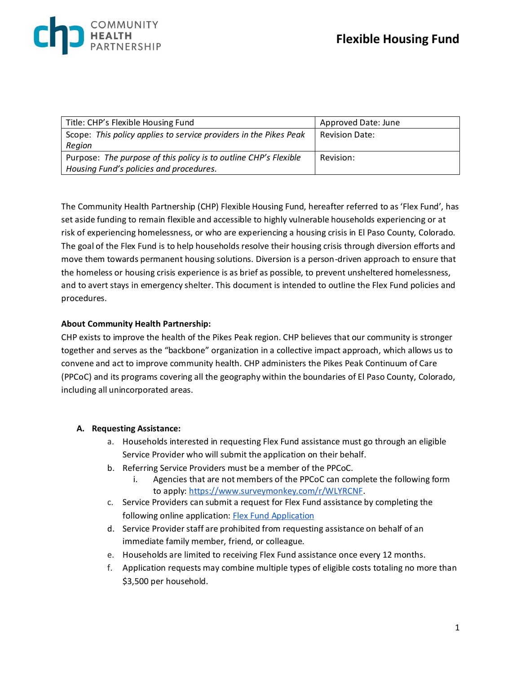| Title: CHP's Flexible Housing Fund                                | Approved Date: June   |
|-------------------------------------------------------------------|-----------------------|
| Scope: This policy applies to service providers in the Pikes Peak | <b>Revision Date:</b> |
| Region                                                            |                       |
| Purpose: The purpose of this policy is to outline CHP's Flexible  | Revision:             |
| Housing Fund's policies and procedures.                           |                       |

The Community Health Partnership (CHP) Flexible Housing Fund, hereafter referred to as 'Flex Fund', has set aside funding to remain flexible and accessible to highly vulnerable households experiencing or at risk of experiencing homelessness, or who are experiencing a housing crisis in El Paso County, Colorado. The goal of the Flex Fund is to help households resolve their housing crisis through diversion efforts and move them towards permanent housing solutions. Diversion is a person-driven approach to ensure that the homeless or housing crisis experience is as brief as possible, to prevent unsheltered homelessness, and to avert stays in emergency shelter. This document is intended to outline the Flex Fund policies and procedures.

#### **About Community Health Partnership:**

CHP exists to improve the health of the Pikes Peak region. CHP believes that our community is stronger together and serves as the "backbone" organization in a collective impact approach, which allows us to convene and act to improve community health. CHP administers the Pikes Peak Continuum of Care (PPCoC) and its programs covering all the geography within the boundaries of El Paso County, Colorado, including all unincorporated areas.

#### **A. Requesting Assistance:**

- a. Households interested in requesting Flex Fund assistance must go through an eligible Service Provider who will submit the application on their behalf.
- b. Referring Service Providers must be a member of the PPCoC.
	- i. Agencies that are not members of the PPCoC can complete the following form to apply[: https://www.surveymonkey.com/r/WLYRCNF.](https://www.surveymonkey.com/r/WLYRCNF)
- c. Service Providers can submit a request for Flex Fund assistance by completing the following online application: [Flex Fund Application](https://forms.office.com/Pages/ResponsePage.aspx?id=ga6xZPYGx0Srh2lIsrxuGdWRwsY2Mj5DhqOZQ8ay6ItUQjE1UEJaRkxJRVRUMlJPUFFZSzVCUVFURi4u)
- d. Service Provider staff are prohibited from requesting assistance on behalf of an immediate family member, friend, or colleague.
- e. Households are limited to receiving Flex Fund assistance once every 12 months.
- f. Application requests may combine multiple types of eligible costs totaling no more than \$3,500 per household.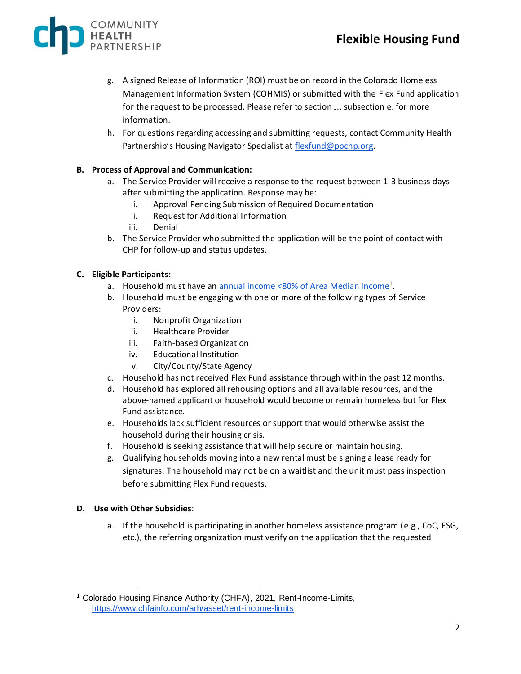

- g. A signed Release of Information (ROI) must be on record in the Colorado Homeless Management Information System (COHMIS) or submitted with the Flex Fund application for the request to be processed. Please refer to section J., subsection e. for more information.
- h. For questions regarding accessing and submitting requests, contact Community Health Partnership's Housing Navigator Specialist at [flexfund@ppchp.org](mailto:flexfund@ppchp.org).

#### **B. Process of Approval and Communication:**

- a. The Service Provider will receive a response to the request between 1-3 business days after submitting the application. Response may be:
	- i. Approval Pending Submission of Required Documentation
	- ii. Request for Additional Information
	- iii. Denial
- b. The Service Provider who submitted the application will be the point of contact with CHP for follow-up and status updates.

#### **C. Eligible Participants:**

- a. Household must have an [annual income <80% of Area Median Income](https://www.chfainfo.com/arh/asset/rent-income-limits)<sup>1</sup>.
- b. Household must be engaging with one or more of the following types of Service Providers:
	- i. Nonprofit Organization
	- ii. Healthcare Provider
	- iii. Faith-based Organization
	- iv. Educational Institution
	- v. City/County/State Agency
- c. Household has not received Flex Fund assistance through within the past 12 months.
- d. Household has explored all rehousing options and all available resources, and the above-named applicant or household would become or remain homeless but for Flex Fund assistance.
- e. Households lack sufficient resources or support that would otherwise assist the household during their housing crisis.
- f. Household is seeking assistance that will help secure or maintain housing.
- g. Qualifying households moving into a new rental must be signing a lease ready for signatures. The household may not be on a waitlist and the unit must pass inspection before submitting Flex Fund requests.

#### **D. Use with Other Subsidies**:

a. If the household is participating in another homeless assistance program (e.g., CoC, ESG, etc.), the referring organization must verify on the application that the requested

<sup>&</sup>lt;sup>1</sup> Colorado Housing Finance Authority (CHFA), 2021, Rent-Income-Limits, <https://www.chfainfo.com/arh/asset/rent-income-limits>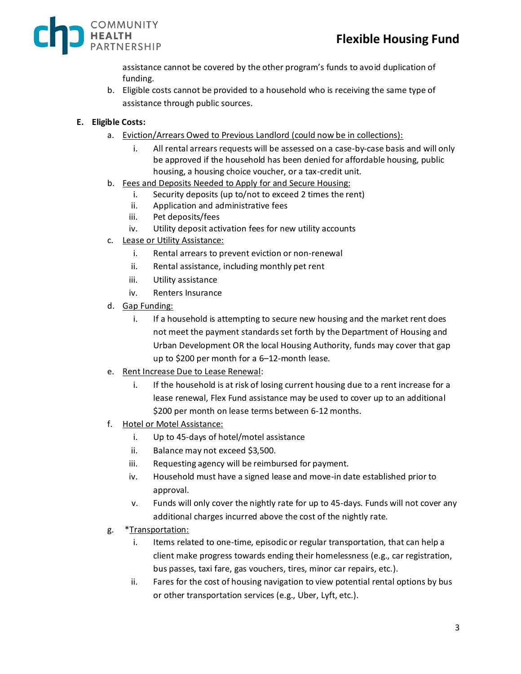

assistance cannot be covered by the other program's funds to avoid duplication of funding.

- b. Eligible costs cannot be provided to a household who is receiving the same type of assistance through public sources.
- **E. Eligible Costs:**
	- a. Eviction/Arrears Owed to Previous Landlord (could now be in collections):
		- i. All rental arrears requests will be assessed on a case-by-case basis and will only be approved if the household has been denied for affordable housing, public housing, a housing choice voucher, or a tax-credit unit.
	- b. Fees and Deposits Needed to Apply for and Secure Housing:
		- i. Security deposits (up to/not to exceed 2 times the rent)
		- ii. Application and administrative fees
		- iii. Pet deposits/fees
		- iv. Utility deposit activation fees for new utility accounts
	- c. Lease or Utility Assistance:
		- i. Rental arrears to prevent eviction or non-renewal
		- ii. Rental assistance, including monthly pet rent
		- iii. Utility assistance
		- iv. Renters Insurance
	- d. Gap Funding:
		- i. If a household is attempting to secure new housing and the market rent does not meet the payment standards set forth by the Department of Housing and Urban Development OR the local Housing Authority, funds may cover that gap up to \$200 per month for a 6–12-month lease.
	- e. Rent Increase Due to Lease Renewal:
		- i. If the household is at risk of losing current housing due to a rent increase for a lease renewal, Flex Fund assistance may be used to cover up to an additional \$200 per month on lease terms between 6-12 months.
	- f. Hotel or Motel Assistance:
		- i. Up to 45-days of hotel/motel assistance
		- ii. Balance may not exceed \$3,500.
		- iii. Requesting agency will be reimbursed for payment.
		- iv. Household must have a signed lease and move-in date established prior to approval.
		- v. Funds will only cover the nightly rate for up to 45-days. Funds will not cover any additional charges incurred above the cost of the nightly rate.
	- g. \*Transportation:
		- i. Items related to one-time, episodic or regular transportation, that can help a client make progress towards ending their homelessness (e.g., car registration, bus passes, taxi fare, gas vouchers, tires, minor car repairs, etc.).
		- ii. Fares for the cost of housing navigation to view potential rental options by bus or other transportation services (e.g., Uber, Lyft, etc.).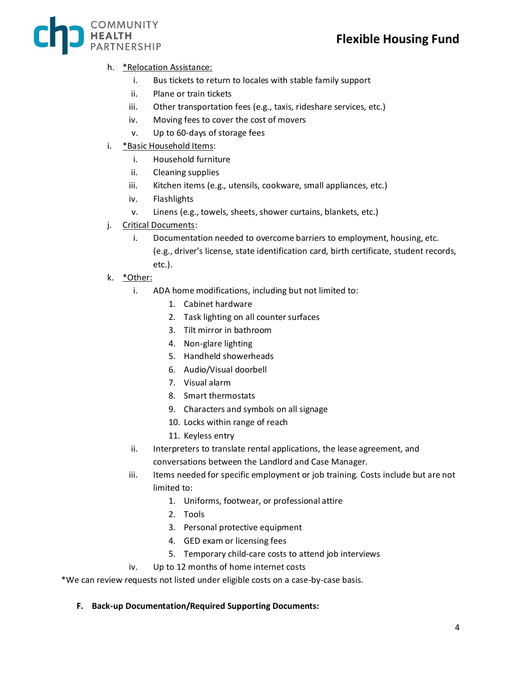

### h. \*Relocation Assistance:

- i. Bus tickets to return to locales with stable family support
- ii. Plane or train tickets
- iii. Other transportation fees (e.g., taxis, rideshare services, etc.)
- iv. Moving fees to cover the cost of movers
- v. Up to 60-days of storage fees
- i. \*Basic Household Items:
	- i. Household furniture
	- ii. Cleaning supplies
	- iii. Kitchen items (e.g., utensils, cookware, small appliances, etc.)
	- iv. Flashlights
	- v. Linens (e.g., towels, sheets, shower curtains, blankets, etc.)
- j. Critical Documents:
	- i. Documentation needed to overcome barriers to employment, housing, etc. (e.g., driver's license, state identification card, birth certificate, student records, etc.).
- k. <u>\*Other:</u>
	- i. ADA home modifications, including but not limited to:
		- 1. Cabinet hardware
		- 2. Task lighting on all counter surfaces
		- 3. Tilt mirror in bathroom
		- 4. Non-glare lighting
		- 5. Handheld showerheads
		- 6. Audio/Visual doorbell
		- 7. Visual alarm
		- 8. Smart thermostats
		- 9. Characters and symbols on all signage
		- 10. Locks within range of reach
		- 11. Keyless entry
	- ii. Interpreters to translate rental applications, the lease agreement, and conversations between the Landlord and Case Manager.
	- iii. Items needed for specific employment or job training. Costs include but are not limited to:
		- 1. Uniforms, footwear, or professional attire
		- 2. Tools
		- 3. Personal protective equipment
		- 4. GED exam or licensing fees
		- 5. Temporary child-care costs to attend job interviews
	- iv. Up to 12 months of home internet costs

\*We can review requests not listed under eligible costs on a case-by-case basis.

#### **F. Back-up Documentation/Required Supporting Documents:**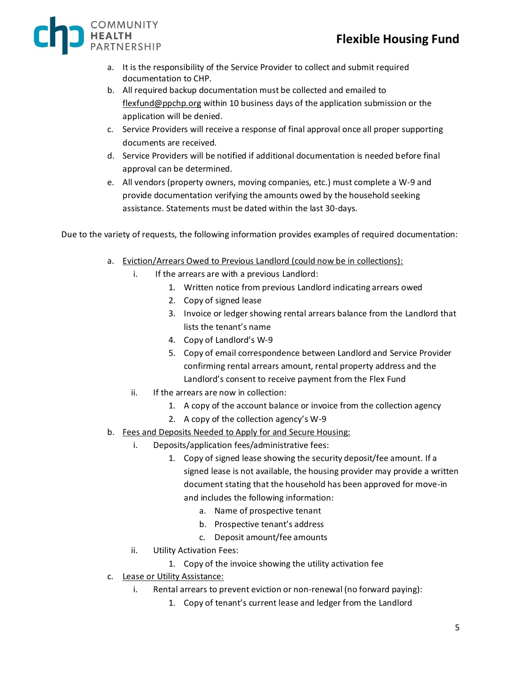

- a. It is the responsibility of the Service Provider to collect and submit required documentation to CHP.
- b. All required backup documentation must be collected and emailed to [flexfund@ppchp.org](mailto:flexfunds@ppchp.org) within 10 business days of the application submission or the application will be denied.
- c. Service Providers will receive a response of final approval once all proper supporting documents are received.
- d. Service Providers will be notified if additional documentation is needed before final approval can be determined.
- e. All vendors (property owners, moving companies, etc.) must complete a W-9 and provide documentation verifying the amounts owed by the household seeking assistance. Statements must be dated within the last 30-days.

Due to the variety of requests, the following information provides examples of required documentation:

- a. Eviction/Arrears Owed to Previous Landlord (could now be in collections):
	- i. If the arrears are with a previous Landlord:
		- 1. Written notice from previous Landlord indicating arrears owed
		- 2. Copy of signed lease
		- 3. Invoice or ledger showing rental arrears balance from the Landlord that lists the tenant's name
		- 4. Copy of Landlord's W-9
		- 5. Copy of email correspondence between Landlord and Service Provider confirming rental arrears amount, rental property address and the Landlord's consent to receive payment from the Flex Fund
	- ii. If the arrears are now in collection:
		- 1. A copy of the account balance or invoice from the collection agency
		- 2. A copy of the collection agency's W-9
- b. Fees and Deposits Needed to Apply for and Secure Housing:
	- i. Deposits/application fees/administrative fees:
		- 1. Copy of signed lease showing the security deposit/fee amount. If a signed lease is not available, the housing provider may provide a written document stating that the household has been approved for move-in and includes the following information:
			- a. Name of prospective tenant
			- b. Prospective tenant's address
			- c. Deposit amount/fee amounts
	- ii. Utility Activation Fees:
		- 1. Copy of the invoice showing the utility activation fee
- c. Lease or Utility Assistance:
	- i. Rental arrears to prevent eviction or non-renewal (no forward paying):
		- 1. Copy of tenant's current lease and ledger from the Landlord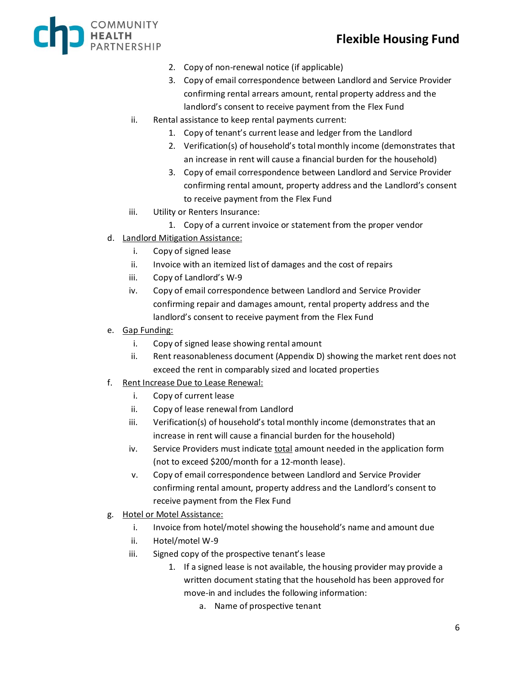

- 2. Copy of non-renewal notice (if applicable)
- 3. Copy of email correspondence between Landlord and Service Provider confirming rental arrears amount, rental property address and the landlord's consent to receive payment from the Flex Fund
- ii. Rental assistance to keep rental payments current:
	- 1. Copy of tenant's current lease and ledger from the Landlord
	- 2. Verification(s) of household's total monthly income (demonstrates that an increase in rent will cause a financial burden for the household)
	- 3. Copy of email correspondence between Landlord and Service Provider confirming rental amount, property address and the Landlord's consent to receive payment from the Flex Fund
- iii. Utility or Renters Insurance:
	- 1. Copy of a current invoice or statement from the proper vendor
- d. Landlord Mitigation Assistance:
	- i. Copy of signed lease
	- ii. Invoice with an itemized list of damages and the cost of repairs
	- iii. Copy of Landlord's W-9
	- iv. Copy of email correspondence between Landlord and Service Provider confirming repair and damages amount, rental property address and the landlord's consent to receive payment from the Flex Fund
- e. Gap Funding:
	- i. Copy of signed lease showing rental amount
	- ii. Rent reasonableness document (Appendix D) showing the market rent does not exceed the rent in comparably sized and located properties
- f. Rent Increase Due to Lease Renewal:
	- i. Copy of current lease
	- ii. Copy of lease renewal from Landlord
	- iii. Verification(s) of household's total monthly income (demonstrates that an increase in rent will cause a financial burden for the household)
	- iv. Service Providers must indicate total amount needed in the application form (not to exceed \$200/month for a 12-month lease).
	- v. Copy of email correspondence between Landlord and Service Provider confirming rental amount, property address and the Landlord's consent to receive payment from the Flex Fund
- g. Hotel or Motel Assistance:
	- i. Invoice from hotel/motel showing the household's name and amount due
	- ii. Hotel/motel W-9
	- iii. Signed copy of the prospective tenant's lease
		- 1. If a signed lease is not available, the housing provider may provide a written document stating that the household has been approved for move-in and includes the following information:
			- a. Name of prospective tenant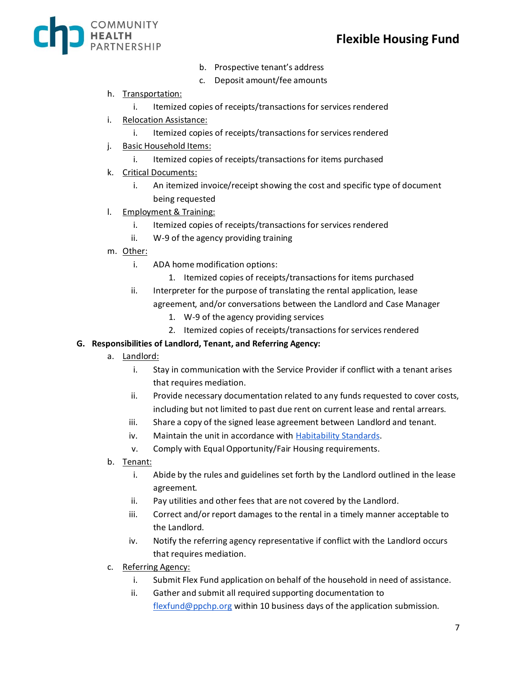

- b. Prospective tenant's address
- c. Deposit amount/fee amounts

#### h. Transportation:

- i. Itemized copies of receipts/transactions for services rendered
- i. Relocation Assistance:
	- i. Itemized copies of receipts/transactions for services rendered
- j. Basic Household Items:
	- i. Itemized copies of receipts/transactions for items purchased
- k. Critical Documents:
	- i. An itemized invoice/receipt showing the cost and specific type of document being requested
- l. Employment & Training:
	- i. Itemized copies of receipts/transactions for services rendered
	- ii. W-9 of the agency providing training
- m. Other:
	- i. ADA home modification options:
		- 1. Itemized copies of receipts/transactions for items purchased
	- ii. Interpreter for the purpose of translating the rental application, lease agreement, and/or conversations between the Landlord and Case Manager
		- 1. W-9 of the agency providing services
		- 2. Itemized copies of receipts/transactions for services rendered

#### **G. Responsibilities of Landlord, Tenant, and Referring Agency:**

- a. Landlord:
	- i. Stay in communication with the Service Provider if conflict with a tenant arises that requires mediation.
	- ii. Provide necessary documentation related to any funds requested to cover costs, including but not limited to past due rent on current lease and rental arrears.
	- iii. Share a copy of the signed lease agreement between Landlord and tenant.
	- iv. Maintain the unit in accordance with **Habitability Standards**.
	- v. Comply with Equal Opportunity/Fair Housing requirements.
- b. Tenant:
	- i. Abide by the rules and guidelines set forth by the Landlord outlined in the lease agreement.
	- ii. Pay utilities and other fees that are not covered by the Landlord.
	- iii. Correct and/or report damages to the rental in a timely manner acceptable to the Landlord.
	- iv. Notify the referring agency representative if conflict with the Landlord occurs that requires mediation.
- c. Referring Agency:
	- i. Submit Flex Fund application on behalf of the household in need of assistance.
	- ii. Gather and submit all required supporting documentation to [flexfund@ppchp.org](mailto:flexfunds@ppchp.org) within 10 business days of the application submission.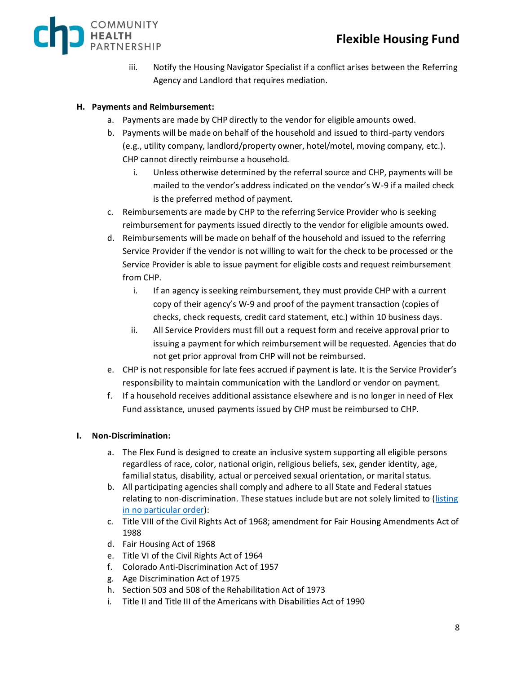

iii. Notify the Housing Navigator Specialist if a conflict arises between the Referring Agency and Landlord that requires mediation.

### **H. Payments and Reimbursement:**

- a. Payments are made by CHP directly to the vendor for eligible amounts owed.
- b. Payments will be made on behalf of the household and issued to third-party vendors (e.g., utility company, landlord/property owner, hotel/motel, moving company, etc.). CHP cannot directly reimburse a household.
	- i. Unless otherwise determined by the referral source and CHP, payments will be mailed to the vendor's address indicated on the vendor's W-9 if a mailed check is the preferred method of payment.
- c. Reimbursements are made by CHP to the referring Service Provider who is seeking reimbursement for payments issued directly to the vendor for eligible amounts owed.
- d. Reimbursements will be made on behalf of the household and issued to the referring Service Provider if the vendor is not willing to wait for the check to be processed or the Service Provider is able to issue payment for eligible costs and request reimbursement from CHP.
	- i. If an agency is seeking reimbursement, they must provide CHP with a current copy of their agency's W-9 and proof of the payment transaction (copies of checks, check requests, credit card statement, etc.) within 10 business days.
	- ii. All Service Providers must fill out a request form and receive approval prior to issuing a payment for which reimbursement will be requested. Agencies that do not get prior approval from CHP will not be reimbursed.
- e. CHP is not responsible for late fees accrued if payment is late. It is the Service Provider's responsibility to maintain communication with the Landlord or vendor on payment.
- f. If a household receives additional assistance elsewhere and is no longer in need of Flex Fund assistance, unused payments issued by CHP must be reimbursed to CHP.

#### **I. Non-Discrimination:**

- a. The Flex Fund is designed to create an inclusive system supporting all eligible persons regardless of race, color, national origin, religious beliefs, sex, gender identity, age, familial status, disability, actual or perceived sexual orientation, or marital status.
- b. All participating agencies shall comply and adhere to all State and Federal statues relating to non-discrimination. These statues include but are not solely limited to (listing [in no particular order\)](https://www.hud.gov/program_offices/fair_housing_equal_opp/fair_housing_and_related_law):
- c. Title VIII of the Civil Rights Act of 1968; amendment for Fair Housing Amendments Act of 1988
- d. Fair Housing Act of 1968
- e. Title VI of the Civil Rights Act of 1964
- f. Colorado Anti-Discrimination Act of 1957
- g. Age Discrimination Act of 1975
- h. Section 503 and 508 of the Rehabilitation Act of 1973
- i. Title II and Title III of the Americans with Disabilities Act of 1990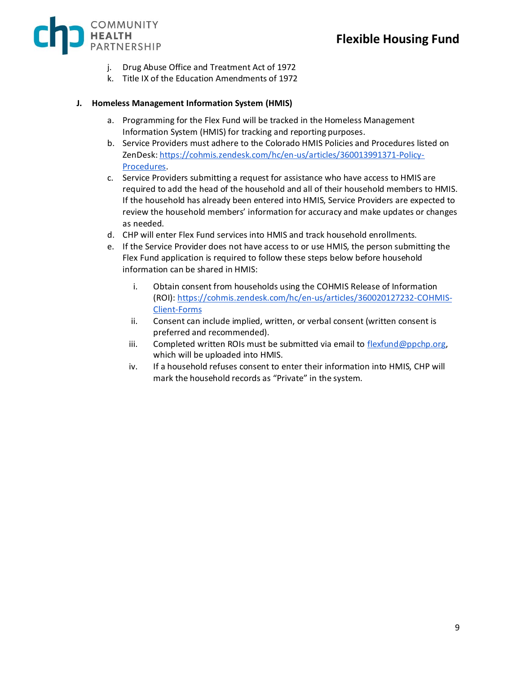

- j. Drug Abuse Office and Treatment Act of 1972
- k. Title IX of the Education Amendments of 1972

#### **J. Homeless Management Information System (HMIS)**

- a. Programming for the Flex Fund will be tracked in the Homeless Management Information System (HMIS) for tracking and reporting purposes.
- b. Service Providers must adhere to the Colorado HMIS Policies and Procedures listed on ZenDesk[: https://cohmis.zendesk.com/hc/en-us/articles/360013991371-Policy-](https://cohmis.zendesk.com/hc/en-us/articles/360013991371-Policy-Procedures)[Procedures.](https://cohmis.zendesk.com/hc/en-us/articles/360013991371-Policy-Procedures)
- c. Service Providers submitting a request for assistance who have access to HMIS are required to add the head of the household and all of their household members to HMIS. If the household has already been entered into HMIS, Service Providers are expected to review the household members' information for accuracy and make updates or changes as needed.
- d. CHP will enter Flex Fund services into HMIS and track household enrollments.
- e. If the Service Provider does not have access to or use HMIS, the person submitting the Flex Fund application is required to follow these steps below before household information can be shared in HMIS:
	- i. Obtain consent from households using the COHMIS Release of Information (ROI)[: https://cohmis.zendesk.com/hc/en-us/articles/360020127232-COHMIS-](https://cohmis.zendesk.com/hc/en-us/articles/360020127232-COHMIS-Client-Forms)[Client-Forms](https://cohmis.zendesk.com/hc/en-us/articles/360020127232-COHMIS-Client-Forms)
	- ii. Consent can include implied, written, or verbal consent (written consent is preferred and recommended).
	- iii. Completed written ROIs must be submitted via email to [flexfund@ppchp.org,](mailto:flexfunds@ppchp.org) which will be uploaded into HMIS.
	- iv. If a household refuses consent to enter their information into HMIS, CHP will mark the household records as "Private" in the system.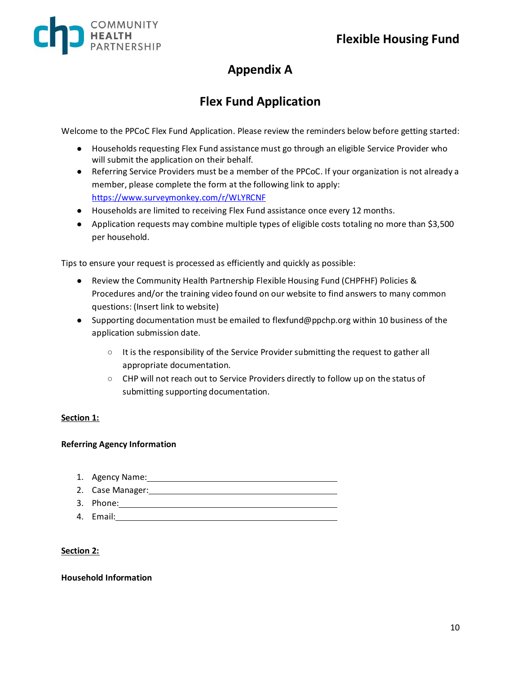

# **Appendix A**

# **Flex Fund Application**

Welcome to the PPCoC Flex Fund Application. Please review the reminders below before getting started:

- **●** Households requesting Flex Fund assistance must go through an eligible Service Provider who will submit the application on their behalf.
- **●** Referring Service Providers must be a member of the PPCoC. If your organization is not already a member, please complete the form at the following link to apply: <https://www.surveymonkey.com/r/WLYRCNF>
- **●** Households are limited to receiving Flex Fund assistance once every 12 months.
- **●** Application requests may combine multiple types of eligible costs totaling no more than \$3,500 per household.

Tips to ensure your request is processed as efficiently and quickly as possible:

- **●** Review the Community Health Partnership Flexible Housing Fund (CHPFHF) Policies & Procedures and/or the training video found on our website to find answers to many common questions: (Insert link to website)
- **●** Supporting documentation must be emailed to flexfund@ppchp.org within 10 business of the application submission date.
	- **○** It is the responsibility of the Service Provider submitting the request to gather all appropriate documentation.
	- **○** CHP will not reach out to Service Providers directly to follow up on the status of submitting supporting documentation.

#### **Section 1:**

#### **Referring Agency Information**

- 1. Agency Name:
- 2. Case Manager:
- 3. Phone:
- 4. Email:

#### **Section 2:**

#### **Household Information**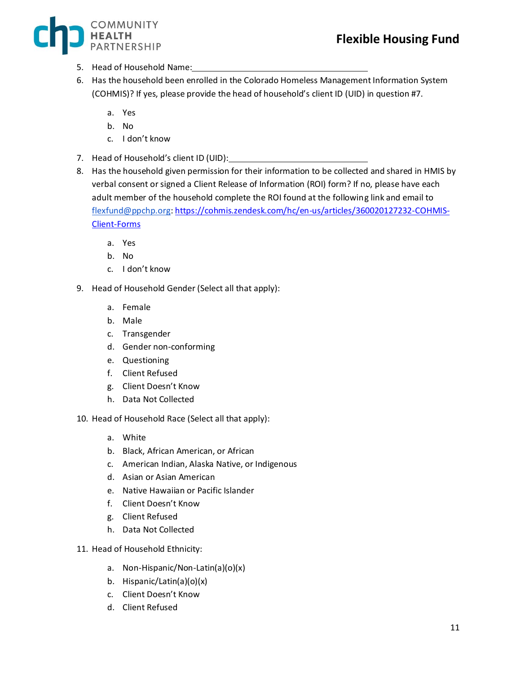### **Flexible Housing Fund**



- 5. Head of Household Name:
- 6. Has the household been enrolled in the Colorado Homeless Management Information System (COHMIS)? If yes, please provide the head of household's client ID (UID) in question #7.
	- a. Yes
	- b. No
	- c. I don't know
- 7. Head of Household's client ID (UID):
- 8. Has the household given permission for their information to be collected and shared in HMIS by verbal consent or signed a Client Release of Information (ROI) form? If no, please have each adult member of the household complete the ROI found at the following link and email to [flexfund@ppchp.org:](mailto:flexfund@ppchp.org) [https://cohmis.zendesk.com/hc/en-us/articles/360020127232-COHMIS-](https://cohmis.zendesk.com/hc/en-us/articles/360020127232-COHMIS-Client-Forms)[Client-Forms](https://cohmis.zendesk.com/hc/en-us/articles/360020127232-COHMIS-Client-Forms)
	- a. Yes
	- b. No
	- c. I don't know
- 9. Head of Household Gender (Select all that apply):
	- a. Female
	- b. Male
	- c. Transgender
	- d. Gender non-conforming
	- e. Questioning
	- f. Client Refused
	- g. Client Doesn't Know
	- h. Data Not Collected
- 10. Head of Household Race (Select all that apply):
	- a. White
	- b. Black, African American, or African
	- c. American Indian, Alaska Native, or Indigenous
	- d. Asian or Asian American
	- e. Native Hawaiian or Pacific Islander
	- f. Client Doesn't Know
	- g. Client Refused
	- h. Data Not Collected
- 11. Head of Household Ethnicity:
	- a. Non-Hispanic/Non-Latin(a)(o)(x)
	- b. Hispanic/Latin(a)(o)(x)
	- c. Client Doesn't Know
	- d. Client Refused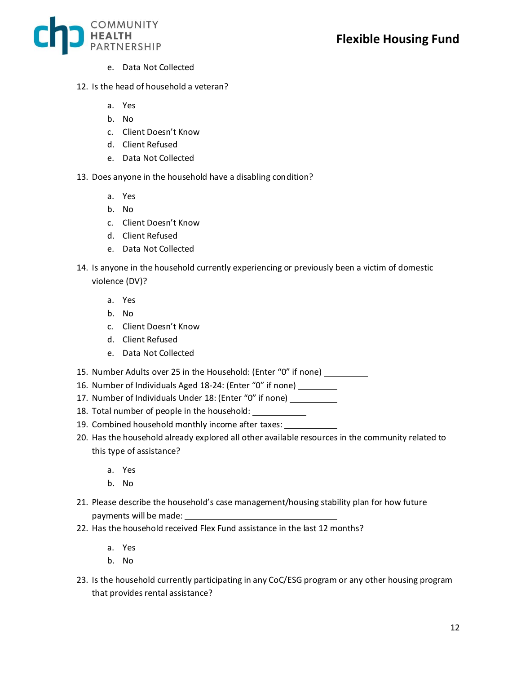

- e. Data Not Collected
- 12. Is the head of household a veteran?
	- a. Yes
	- b. No
	- c. Client Doesn't Know
	- d. Client Refused
	- e. Data Not Collected
- 13. Does anyone in the household have a disabling condition?
	- a. Yes
	- b. No
	- c. Client Doesn't Know
	- d. Client Refused
	- e. Data Not Collected
- 14. Is anyone in the household currently experiencing or previously been a victim of domestic violence (DV)?
	- a. Yes
	- b. No
	- c. Client Doesn't Know
	- d. Client Refused
	- e. Data Not Collected
- 15. Number Adults over 25 in the Household: (Enter "0" if none)
- 16. Number of Individuals Aged 18-24: (Enter "0" if none)
- 17. Number of Individuals Under 18: (Enter "0" if none)
- 18. Total number of people in the household:
- 19. Combined household monthly income after taxes:
- 20. Has the household already explored all other available resources in the community related to this type of assistance?
	- a. Yes
	- b. No
- 21. Please describe the household's case management/housing stability plan for how future payments will be made:
- 22. Has the household received Flex Fund assistance in the last 12 months?
	- a. Yes
	- b. No
- 23. Is the household currently participating in any CoC/ESG program or any other housing program that provides rental assistance?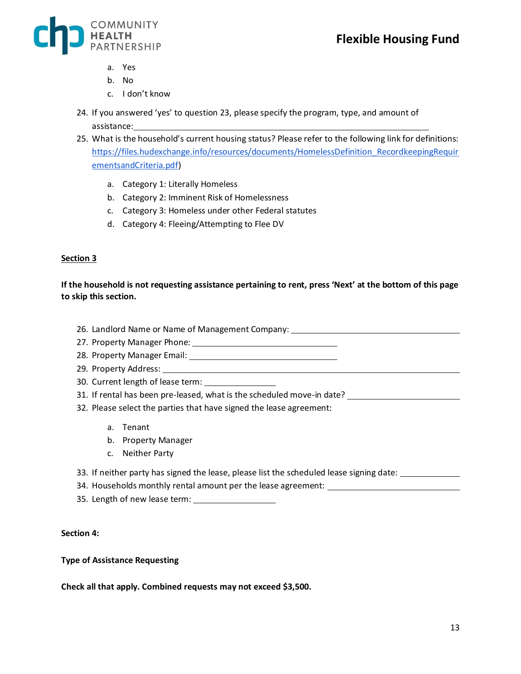

- a. Yes
- b. No
- c. I don't know
- 24. If you answered 'yes' to question 23, please specify the program, type, and amount of assistance:
- 25. What is the household's current housing status? Please refer to the following link for definitions: [https://files.hudexchange.info/resources/documents/HomelessDefinition\\_RecordkeepingRequir](https://files.hudexchange.info/resources/documents/HomelessDefinition_RecordkeepingRequirementsandCriteria.pdf) [ementsandCriteria.pdf\)](https://files.hudexchange.info/resources/documents/HomelessDefinition_RecordkeepingRequirementsandCriteria.pdf)
	- a. Category 1: Literally Homeless
	- b. Category 2: Imminent Risk of Homelessness
	- c. Category 3: Homeless under other Federal statutes
	- d. Category 4: Fleeing/Attempting to Flee DV

#### **Section 3**

**If the household is not requesting assistance pertaining to rent, press 'Next' at the bottom of this page to skip this section.**

- 26. Landlord Name or Name of Management Company:
- 27. Property Manager Phone:
- 28. Property Manager Email: 2008. 2010 12:20 12:20 12:20 12:20 12:20 12:20 12:20 12:20 12:20 12:20 12:20 12:20
- 29. Property Address:
- 30. Current length of lease term:
- 31. If rental has been pre-leased, what is the scheduled move-in date?
- 32. Please select the parties that have signed the lease agreement:
	- a. Tenant
	- b. Property Manager
	- c. Neither Party
- 33. If neither party has signed the lease, please list the scheduled lease signing date:  $\qquad \qquad$
- 34. Households monthly rental amount per the lease agreement:
- 35. Length of new lease term:

#### **Section 4:**

#### **Type of Assistance Requesting**

**Check all that apply. Combined requests may not exceed \$3,500.**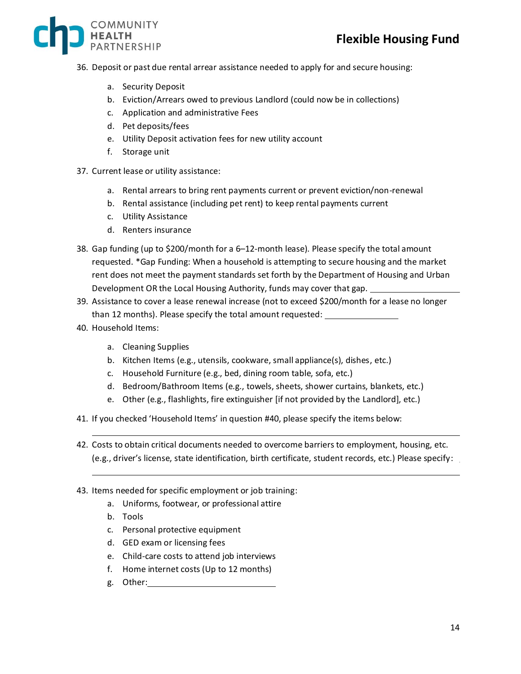

- 36. Deposit or past due rental arrear assistance needed to apply for and secure housing:
	- a. Security Deposit
	- b. Eviction/Arrears owed to previous Landlord (could now be in collections)
	- c. Application and administrative Fees
	- d. Pet deposits/fees
	- e. Utility Deposit activation fees for new utility account
	- f. Storage unit
- 37. Current lease or utility assistance:
	- a. Rental arrears to bring rent payments current or prevent eviction/non-renewal
	- b. Rental assistance (including pet rent) to keep rental payments current
	- c. Utility Assistance
	- d. Renters insurance
- 38. Gap funding (up to \$200/month for a 6–12-month lease). Please specify the total amount requested. \*Gap Funding: When a household is attempting to secure housing and the market rent does not meet the payment standards set forth by the Department of Housing and Urban Development OR the Local Housing Authority, funds may cover that gap.
- 39. Assistance to cover a lease renewal increase (not to exceed \$200/month for a lease no longer than 12 months). Please specify the total amount requested:
- 40. Household Items:
	- a. Cleaning Supplies
	- b. Kitchen Items (e.g., utensils, cookware, small appliance(s), dishes, etc.)
	- c. Household Furniture (e.g., bed, dining room table, sofa, etc.)
	- d. Bedroom/Bathroom Items (e.g., towels, sheets, shower curtains, blankets, etc.)
	- e. Other (e.g., flashlights, fire extinguisher [if not provided by the Landlord], etc.)
- 41. If you checked 'Household Items' in question #40, please specify the items below:
- 42. Costs to obtain critical documents needed to overcome barriers to employment, housing, etc. (e.g., driver's license, state identification, birth certificate, student records, etc.) Please specify:
- 43. Items needed for specific employment or job training:
	- a. Uniforms, footwear, or professional attire
	- b. Tools
	- c. Personal protective equipment
	- d. GED exam or licensing fees
	- e. Child-care costs to attend job interviews
	- f. Home internet costs (Up to 12 months)
	- g. Other: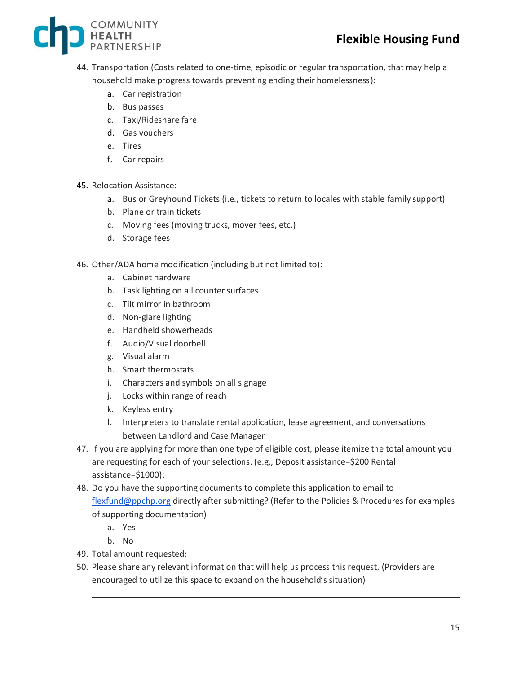

- 44. Transportation (Costs related to one-time, episodic or regular transportation, that may help a household make progress towards preventing ending their homelessness):
	- a. Car registration
	- b. Bus passes
	- c. Taxi/Rideshare fare
	- d. Gas vouchers
	- e. Tires
	- f. Car repairs
- 45. Relocation Assistance:
	- a. Bus or Greyhound Tickets (i.e., tickets to return to locales with stable family support)
	- b. Plane or train tickets
	- c. Moving fees (moving trucks, mover fees, etc.)
	- d. Storage fees
- 46. Other/ADA home modification (including but not limited to):
	- a. Cabinet hardware
	- b. Task lighting on all counter surfaces
	- c. Tilt mirror in bathroom
	- d. Non-glare lighting
	- e. Handheld showerheads
	- f. Audio/Visual doorbell
	- g. Visual alarm
	- h. Smart thermostats
	- i. Characters and symbols on all signage
	- j. Locks within range of reach
	- k. Keyless entry
	- l. Interpreters to translate rental application, lease agreement, and conversations between Landlord and Case Manager
- 47. If you are applying for more than one type of eligible cost, please itemize the total amount you are requesting for each of your selections. (e.g., Deposit assistance=\$200 Rental assistance=\$1000):
- 48. Do you have the supporting documents to complete this application to email to [flexfund@ppchp.org](mailto:flexfund@ppchp.org) directly after submitting? (Refer to the Policies & Procedures for examples of supporting documentation)
	- a. Yes
	- b. No
- 49. Total amount requested:
- 50. Please share any relevant information that will help us process this request. (Providers are encouraged to utilize this space to expand on the household's situation)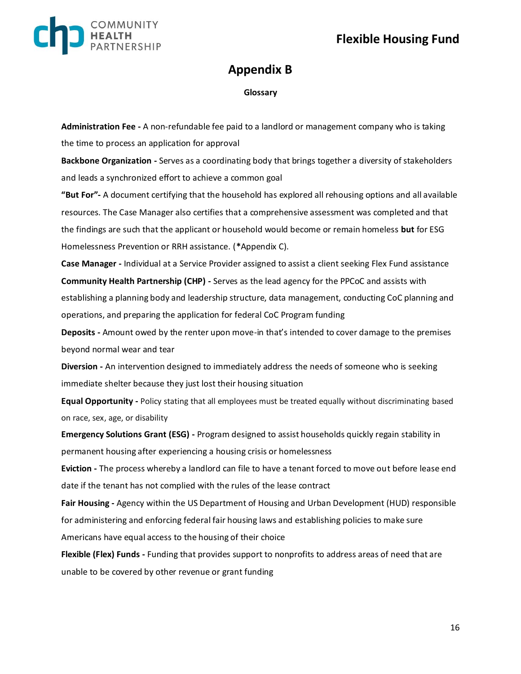

### **Appendix B**

#### **Glossary**

**Administration Fee -** A non-refundable fee paid to a landlord or management company who is taking the time to process an application for approval

**Backbone Organization -** Serves as a coordinating body that brings together a diversity of stakeholders and leads a synchronized effort to achieve a common goal

**"But For"-** A document certifying that the household has explored all rehousing options and all available resources. The Case Manager also certifies that a comprehensive assessment was completed and that the findings are such that the applicant or household would become or remain homeless **but** for ESG Homelessness Prevention or RRH assistance. (**\***Appendix C).

**Case Manager -** Individual at a Service Provider assigned to assist a client seeking Flex Fund assistance **Community Health Partnership (CHP) -** Serves as the lead agency for the PPCoC and assists with establishing a planning body and leadership structure, data management, conducting CoC planning and operations, and preparing the application for federal CoC Program funding

**Deposits -** Amount owed by the renter upon move-in that's intended to cover damage to the premises beyond normal wear and tear

**Diversion -** An intervention designed to immediately address the needs of someone who is seeking immediate shelter because they just lost their housing situation

**Equal Opportunity -** Policy stating that all employees must be treated equally without discriminating based on race, sex, age, or disability

**Emergency Solutions Grant (ESG) -** Program designed to assist households quickly regain stability in permanent housing after experiencing a housing crisis or homelessness

**Eviction -** The process whereby a landlord can file to have a tenant forced to move out before lease end date if the tenant has not complied with the rules of the lease contract

**Fair Housing -** Agency within the US Department of Housing and Urban Development (HUD) responsible for administering and enforcing federal fair housing laws and establishing policies to make sure Americans have equal access to the housing of their choice

**Flexible (Flex) Funds -** Funding that provides support to nonprofits to address areas of need that are unable to be covered by other revenue or grant funding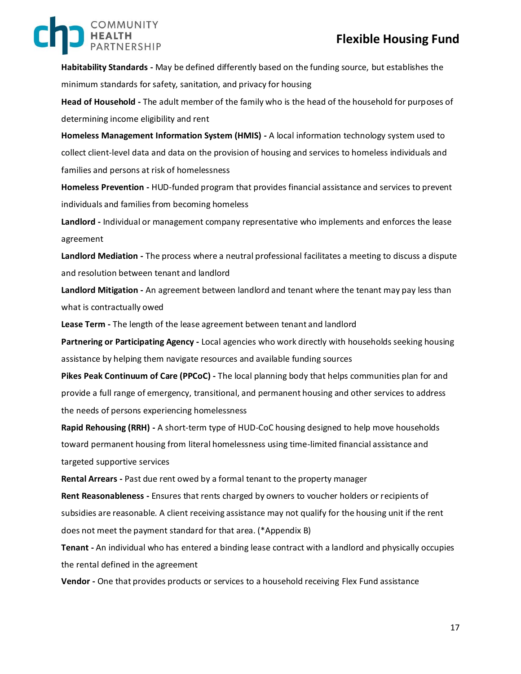### **Flexible Housing Fund**

**Habitability Standards -** May be defined differently based on the funding source, but establishes the minimum standards for safety, sanitation, and privacy for housing

**Head of Household -** The adult member of the family who is the head of the household for purposes of determining income eligibility and rent

**Homeless Management Information System (HMIS) -** A local information technology system used to collect client-level data and data on the provision of housing and services to homeless individuals and families and persons at risk of homelessness

**Homeless Prevention -** HUD-funded program that provides financial assistance and services to prevent individuals and families from becoming homeless

**Landlord -** Individual or management company representative who implements and enforces the lease agreement

**Landlord Mediation -** The process where a neutral professional facilitates a meeting to discuss a dispute and resolution between tenant and landlord

**Landlord Mitigation -** An agreement between landlord and tenant where the tenant may pay less than what is contractually owed

**Lease Term -** The length of the lease agreement between tenant and landlord

**Partnering or Participating Agency -** Local agencies who work directly with households seeking housing assistance by helping them navigate resources and available funding sources

**Pikes Peak Continuum of Care (PPCoC) -** The local planning body that helps communities plan for and provide a full range of emergency, transitional, and permanent housing and other services to address the needs of persons experiencing homelessness

**Rapid Rehousing (RRH) -** A short-term type of HUD-CoC housing designed to help move households toward permanent housing from literal homelessness using time-limited financial assistance and targeted supportive services

**Rental Arrears -** Past due rent owed by a formal tenant to the property manager

**Rent Reasonableness -** Ensures that rents charged by owners to voucher holders or recipients of subsidies are reasonable. A client receiving assistance may not qualify for the housing unit if the rent does not meet the payment standard for that area. (\*Appendix B)

**Tenant -** An individual who has entered a binding lease contract with a landlord and physically occupies the rental defined in the agreement

**Vendor -** One that provides products or services to a household receiving Flex Fund assistance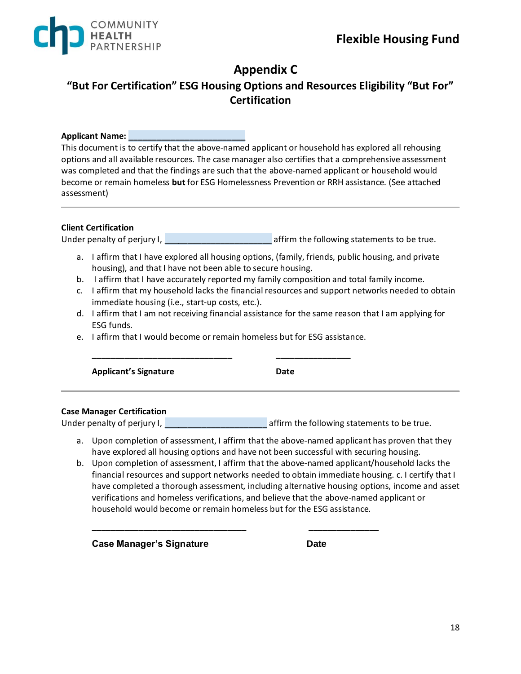

# **Appendix C**

### **"But For Certification" ESG Housing Options and Resources Eligibility "But For" Certification**

#### **Applicant Name: \_\_\_\_\_\_\_\_\_\_\_\_\_\_\_\_\_\_\_\_\_\_\_\_\_**

This document is to certify that the above-named applicant or household has explored all rehousing options and all available resources. The case manager also certifies that a comprehensive assessment was completed and that the findings are such that the above-named applicant or household would become or remain homeless **but** for ESG Homelessness Prevention or RRH assistance. (See attached assessment)

#### **Client Certification**

Under penalty of perjury I, the same statements of perjury I, affirm the following statements to be true.

- a. I affirm that I have explored all housing options, (family, friends, public housing, and private housing), and that I have not been able to secure housing.
- b. I affirm that I have accurately reported my family composition and total family income.
- c. I affirm that my household lacks the financial resources and support networks needed to obtain immediate housing (i.e., start-up costs, etc.).
- d. I affirm that I am not receiving financial assistance for the same reason that I am applying for ESG funds.
- e. I affirm that I would become or remain homeless but for ESG assistance.

**\_\_\_\_\_\_\_\_\_\_\_\_\_\_\_\_\_\_\_\_\_\_\_\_\_\_\_\_\_\_ \_\_\_\_\_\_\_\_\_\_\_\_\_\_\_\_** 

Applicant's Signature **Date Date** 

#### **Case Manager Certification**

Under penalty of perjury I, **EXECUTE:** affirm the following statements to be true.

- a. Upon completion of assessment, I affirm that the above-named applicant has proven that they have explored all housing options and have not been successful with securing housing.
- b. Upon completion of assessment, I affirm that the above-named applicant/household lacks the financial resources and support networks needed to obtain immediate housing. c. I certify that I have completed a thorough assessment, including alternative housing options, income and asset verifications and homeless verifications, and believe that the above-named applicant or household would become or remain homeless but for the ESG assistance.

**\_\_\_\_\_\_\_\_\_\_\_\_\_\_\_\_\_\_\_\_\_\_\_\_\_\_\_\_\_\_\_\_\_ \_\_\_\_\_\_\_\_\_\_\_\_\_\_\_** 

**Case Manager's Signature Date**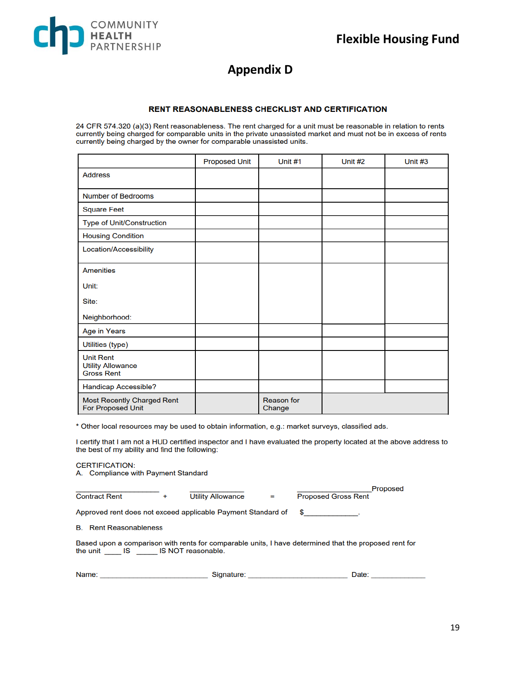

### **Appendix D**

#### **RENT REASONABLENESS CHECKLIST AND CERTIFICATION**

24 CFR 574.320 (a)(3) Rent reasonableness. The rent charged for a unit must be reasonable in relation to rents currently being charged for comparable units in the private unassisted market and must not be in excess of rents currently being charged by the owner for comparable unassisted units.

|                                                                   | <b>Proposed Unit</b> | Unit $#1$                   | Unit #2 | Unit $#3$ |
|-------------------------------------------------------------------|----------------------|-----------------------------|---------|-----------|
| <b>Address</b>                                                    |                      |                             |         |           |
| <b>Number of Bedrooms</b>                                         |                      |                             |         |           |
| <b>Square Feet</b>                                                |                      |                             |         |           |
| <b>Type of Unit/Construction</b>                                  |                      |                             |         |           |
| <b>Housing Condition</b>                                          |                      |                             |         |           |
| Location/Accessibility                                            |                      |                             |         |           |
| <b>Amenities</b>                                                  |                      |                             |         |           |
| Unit:                                                             |                      |                             |         |           |
| Site:                                                             |                      |                             |         |           |
| Neighborhood:                                                     |                      |                             |         |           |
| Age in Years                                                      |                      |                             |         |           |
| Utilities (type)                                                  |                      |                             |         |           |
| <b>Unit Rent</b><br><b>Utility Allowance</b><br><b>Gross Rent</b> |                      |                             |         |           |
| Handicap Accessible?                                              |                      |                             |         |           |
| <b>Most Recently Charged Rent</b><br><b>For Proposed Unit</b>     |                      | <b>Reason</b> for<br>Change |         |           |

\* Other local resources may be used to obtain information, e.g.: market surveys, classified ads.

I certify that I am not a HUD certified inspector and I have evaluated the property located at the above address to the best of my ability and find the following:

| <b>CERTIFICATION:</b>               |
|-------------------------------------|
| A. Compliance with Payment Standard |

| <b>Contract Rent</b>                                                                                                                                                                                                                          | ÷ | <b>Utility Allowance</b> | $=$ | <b>Proposed</b><br><b>Proposed Gross Rent</b> |  |  |  |  |
|-----------------------------------------------------------------------------------------------------------------------------------------------------------------------------------------------------------------------------------------------|---|--------------------------|-----|-----------------------------------------------|--|--|--|--|
| Approved rent does not exceed applicable Payment Standard of                                                                                                                                                                                  |   |                          |     | $\frac{1}{2}$                                 |  |  |  |  |
| <b>B.</b> Rent Reasonableness                                                                                                                                                                                                                 |   |                          |     |                                               |  |  |  |  |
| Based upon a comparison with rents for comparable units, I have determined that the proposed rent for<br>the unit IS IS NOT reasonable.                                                                                                       |   |                          |     |                                               |  |  |  |  |
| Name:<br><u> 1980 - Andrea Amerikaanse komme van die Soos van die Soos van die Soos van die Soos van die Soos van die Soos van die Soos van die Soos van die Soos van die Soos van die Soos van die Soos van die Soos van die Soos van di</u> |   | Signature:               |     | Date:                                         |  |  |  |  |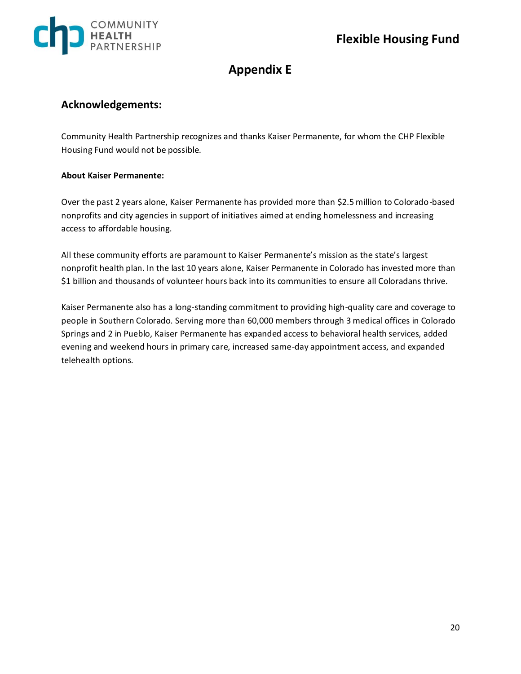

## **Appendix E**

### **Acknowledgements:**

Community Health Partnership recognizes and thanks Kaiser Permanente, for whom the CHP Flexible Housing Fund would not be possible.

#### **About Kaiser Permanente:**

Over the past 2 years alone, Kaiser Permanente has provided more than \$2.5 million to Colorado-based nonprofits and city agencies in support of initiatives aimed at ending homelessness and increasing access to affordable housing.

All these community efforts are paramount to Kaiser Permanente's mission as the state's largest nonprofit health plan. In the last 10 years alone, Kaiser Permanente in Colorado has invested more than \$1 billion and thousands of volunteer hours back into its communities to ensure all Coloradans thrive.

Kaiser Permanente also has a long-standing commitment to providing high-quality care and coverage to people in Southern Colorado. Serving more than 60,000 members through 3 medical offices in Colorado Springs and 2 in Pueblo, Kaiser Permanente has expanded access to behavioral health services, added evening and weekend hours in primary care, increased same-day appointment access, and expanded telehealth options.